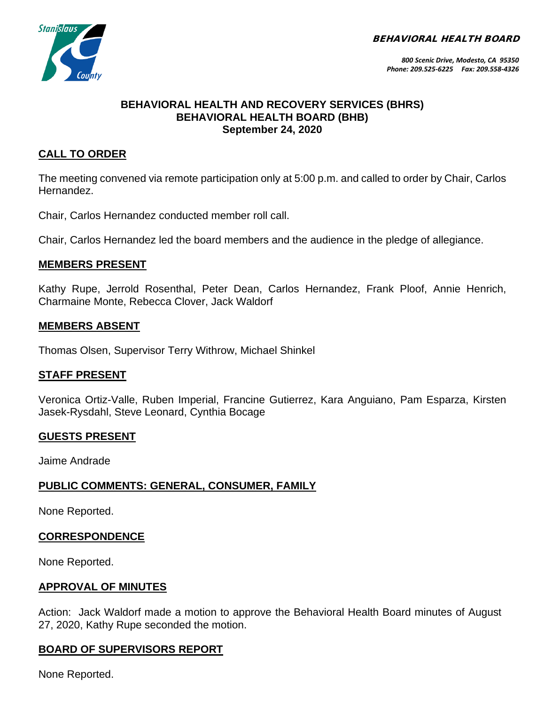BEHAVIORAL HEALTH BOARD



#### **BEHAVIORAL HEALTH AND RECOVERY SERVICES (BHRS) BEHAVIORAL HEALTH BOARD (BHB) September 24, 2020**

# **CALL TO ORDER**

The meeting convened via remote participation only at 5:00 p.m. and called to order by Chair, Carlos Hernandez.

Chair, Carlos Hernandez conducted member roll call.

Chair, Carlos Hernandez led the board members and the audience in the pledge of allegiance.

#### **MEMBERS PRESENT**

Kathy Rupe, Jerrold Rosenthal, Peter Dean, Carlos Hernandez, Frank Ploof, Annie Henrich, Charmaine Monte, Rebecca Clover, Jack Waldorf

#### **MEMBERS ABSENT**

Thomas Olsen, Supervisor Terry Withrow, Michael Shinkel

#### **STAFF PRESENT**

Veronica Ortiz-Valle, Ruben Imperial, Francine Gutierrez, Kara Anguiano, Pam Esparza, Kirsten Jasek-Rysdahl, Steve Leonard, Cynthia Bocage

# **GUESTS PRESENT**

Jaime Andrade

#### **PUBLIC COMMENTS: GENERAL, CONSUMER, FAMILY**

None Reported.

#### **CORRESPONDENCE**

None Reported.

#### **APPROVAL OF MINUTES**

Action: Jack Waldorf made a motion to approve the Behavioral Health Board minutes of August 27, 2020, Kathy Rupe seconded the motion.

# **BOARD OF SUPERVISORS REPORT**

None Reported.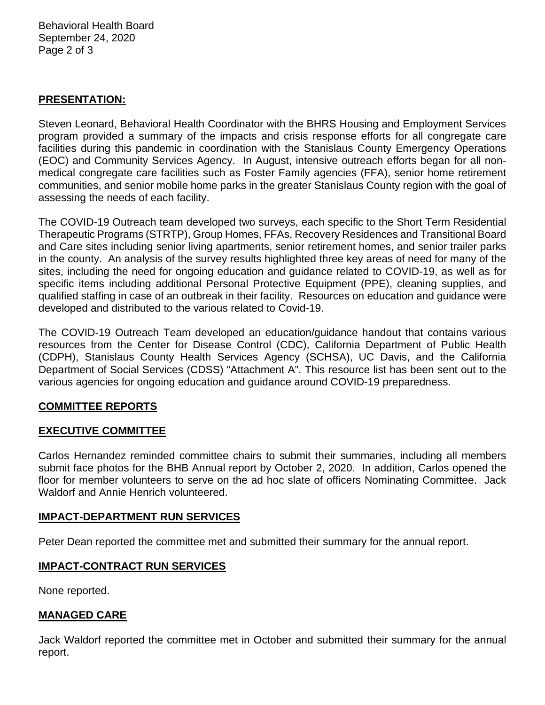Behavioral Health Board September 24, 2020 Page 2 of 3

#### **PRESENTATION:**

Steven Leonard, Behavioral Health Coordinator with the BHRS Housing and Employment Services program provided a summary of the impacts and crisis response efforts for all congregate care facilities during this pandemic in coordination with the Stanislaus County Emergency Operations (EOC) and Community Services Agency. In August, intensive outreach efforts began for all nonmedical congregate care facilities such as Foster Family agencies (FFA), senior home retirement communities, and senior mobile home parks in the greater Stanislaus County region with the goal of assessing the needs of each facility.

The COVID-19 Outreach team developed two surveys, each specific to the Short Term Residential Therapeutic Programs (STRTP), Group Homes, FFAs, Recovery Residences and Transitional Board and Care sites including senior living apartments, senior retirement homes, and senior trailer parks in the county. An analysis of the survey results highlighted three key areas of need for many of the sites, including the need for ongoing education and guidance related to COVID-19, as well as for specific items including additional Personal Protective Equipment (PPE), cleaning supplies, and qualified staffing in case of an outbreak in their facility. Resources on education and guidance were developed and distributed to the various related to Covid-19.

The COVID-19 Outreach Team developed an education/guidance handout that contains various resources from the Center for Disease Control (CDC), California Department of Public Health (CDPH), Stanislaus County Health Services Agency (SCHSA), UC Davis, and the California Department of Social Services (CDSS) "Attachment A". This resource list has been sent out to the various agencies for ongoing education and guidance around COVID-19 preparedness.

# **COMMITTEE REPORTS**

#### **EXECUTIVE COMMITTEE**

Carlos Hernandez reminded committee chairs to submit their summaries, including all members submit face photos for the BHB Annual report by October 2, 2020. In addition, Carlos opened the floor for member volunteers to serve on the ad hoc slate of officers Nominating Committee. Jack Waldorf and Annie Henrich volunteered.

#### **IMPACT-DEPARTMENT RUN SERVICES**

Peter Dean reported the committee met and submitted their summary for the annual report.

#### **IMPACT-CONTRACT RUN SERVICES**

None reported.

#### **MANAGED CARE**

Jack Waldorf reported the committee met in October and submitted their summary for the annual report.